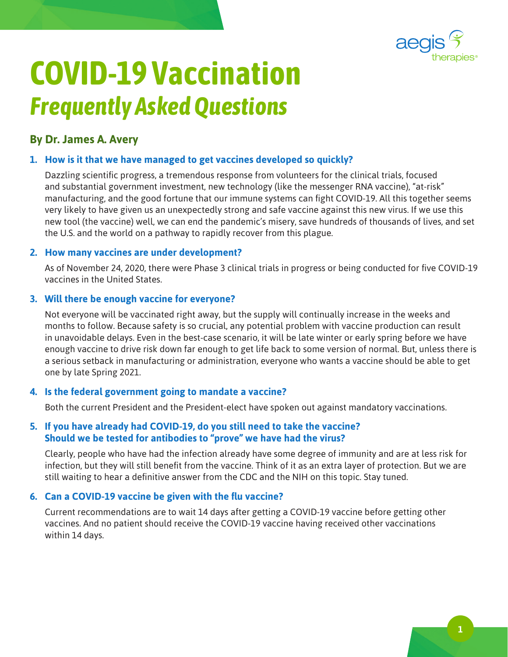

# **COVID-19 Vaccination** *Frequently Asked Questions*

# **By Dr. James A. Avery**

# **1. How is it that we have managed to get vaccines developed so quickly?**

Dazzling scientific progress, a tremendous response from volunteers for the clinical trials, focused and substantial government investment, new technology (like the messenger RNA vaccine), "at-risk" manufacturing, and the good fortune that our immune systems can fight COVID-19. All this together seems very likely to have given us an unexpectedly strong and safe vaccine against this new virus. If we use this new tool (the vaccine) well, we can end the pandemic's misery, save hundreds of thousands of lives, and set the U.S. and the world on a pathway to rapidly recover from this plague.

#### **2. How many vaccines are under development?**

As of November 24, 2020, there were Phase 3 clinical trials in progress or being conducted for five COVID-19 vaccines in the United States.

#### **3. Will there be enough vaccine for everyone?**

Not everyone will be vaccinated right away, but the supply will continually increase in the weeks and months to follow. Because safety is so crucial, any potential problem with vaccine production can result in unavoidable delays. Even in the best-case scenario, it will be late winter or early spring before we have enough vaccine to drive risk down far enough to get life back to some version of normal. But, unless there is a serious setback in manufacturing or administration, everyone who wants a vaccine should be able to get one by late Spring 2021.

# **4. Is the federal government going to mandate a vaccine?**

Both the current President and the President-elect have spoken out against mandatory vaccinations.

# **5. If you have already had COVID-19, do you still need to take the vaccine? Should we be tested for antibodies to "prove" we have had the virus?**

Clearly, people who have had the infection already have some degree of immunity and are at less risk for infection, but they will still benefit from the vaccine. Think of it as an extra layer of protection. But we are still waiting to hear a definitive answer from the CDC and the NIH on this topic. Stay tuned.

# **6. Can a COVID-19 vaccine be given with the flu vaccine?**

Current recommendations are to wait 14 days after getting a COVID-19 vaccine before getting other vaccines. And no patient should receive the COVID-19 vaccine having received other vaccinations within 14 days.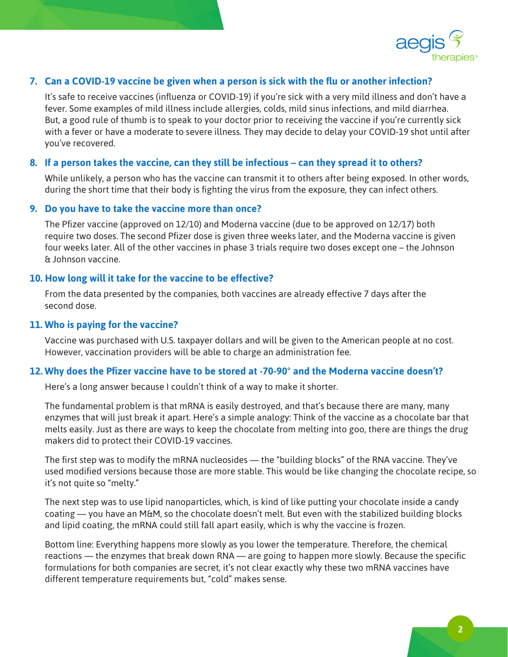

# **7. Can a COVID-19 vaccine be given when a person is sick with the flu or another infection?**

It's safe to receive vaccines (influenza or COVID-19) if you're sick with a very mild illness and don't have a fever. Some examples of mild illness include allergies, colds, mild sinus infections, and mild diarrhea. But, a good rule of thumb is to speak to your doctor prior to receiving the vaccine if you're currently sick with a fever or have a moderate to severe illness. They may decide to delay your COVID-19 shot until after you've recovered.

#### **8. If a person takes the vaccine, can they still be infectious – can they spread it to others?**

While unlikely, a person who has the vaccine can transmit it to others after being exposed. In other words, during the short time that their body is fighting the virus from the exposure, they can infect others.

#### **9. Do you have to take the vaccine more than once?**

The Pfizer vaccine (approved on 12/10) and Moderna vaccine (due to be approved on 12/17) both require two doses. The second Pfizer dose is given three weeks later, and the Moderna vaccine is given four weeks later. All of the other vaccines in phase 3 trials require two doses except one – the Johnson & Johnson vaccine.

#### **10. How long will it take for the vaccine to be effective?**

From the data presented by the companies, both vaccines are already effective 7 days after the second dose.

#### **11. Who is paying for the vaccine?**

Vaccine was purchased with U.S. taxpayer dollars and will be given to the American people at no cost. However, vaccination providers will be able to charge an administration fee.

#### **12. Why does the Pfizer vaccine have to be stored at -70-90° and the Moderna vaccine doesn't?**

Here's a long answer because I couldn't think of a way to make it shorter.

The fundamental problem is that mRNA is easily destroyed, and that's because there are many, many enzymes that will just break it apart. Here's a simple analogy: Think of the vaccine as a chocolate bar that melts easily. Just as there are ways to keep the chocolate from melting into goo, there are things the drug makers did to protect their COVID-19 vaccines.

The first step was to modify the mRNA nucleosides — the "building blocks" of the RNA vaccine. They've used modified versions because those are more stable. This would be like changing the chocolate recipe, so it's not quite so "melty."

The next step was to use lipid nanoparticles, which, is kind of like putting your chocolate inside a candy coating — you have an M&M, so the chocolate doesn't melt. But even with the stabilized building blocks and lipid coating, the mRNA could still fall apart easily, which is why the vaccine is frozen.

Bottom line: Everything happens more slowly as you lower the temperature. Therefore, the chemical reactions — the enzymes that break down RNA — are going to happen more slowly. Because the specific formulations for both companies are secret, it's not clear exactly why these two mRNA vaccines have different temperature requirements but, "cold" makes sense.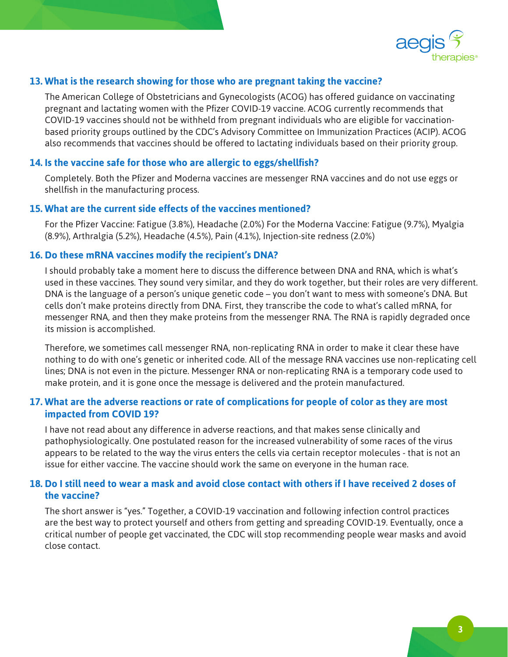

# **13. What is the research showing for those who are pregnant taking the vaccine?**

The American College of Obstetricians and Gynecologists (ACOG) has offered guidance on vaccinating pregnant and lactating women with the Pfizer COVID-19 vaccine. ACOG currently recommends that COVID-19 vaccines should not be withheld from pregnant individuals who are eligible for vaccinationbased priority groups outlined by the CDC's Advisory Committee on Immunization Practices (ACIP). ACOG also recommends that vaccines should be offered to lactating individuals based on their priority group.

#### **14. Is the vaccine safe for those who are allergic to eggs/shellfish?**

Completely. Both the Pfizer and Moderna vaccines are messenger RNA vaccines and do not use eggs or shellfish in the manufacturing process.

# **15. What are the current side effects of the vaccines mentioned?**

For the Pfizer Vaccine: Fatigue (3.8%), Headache (2.0%) For the Moderna Vaccine: Fatigue (9.7%), Myalgia (8.9%), Arthralgia (5.2%), Headache (4.5%), Pain (4.1%), Injection-site redness (2.0%)

#### **16. Do these mRNA vaccines modify the recipient's DNA?**

I should probably take a moment here to discuss the difference between DNA and RNA, which is what's used in these vaccines. They sound very similar, and they do work together, but their roles are very different. DNA is the language of a person's unique genetic code – you don't want to mess with someone's DNA. But cells don't make proteins directly from DNA. First, they transcribe the code to what's called mRNA, for messenger RNA, and then they make proteins from the messenger RNA. The RNA is rapidly degraded once its mission is accomplished.

Therefore, we sometimes call messenger RNA, non-replicating RNA in order to make it clear these have nothing to do with one's genetic or inherited code. All of the message RNA vaccines use non-replicating cell lines; DNA is not even in the picture. Messenger RNA or non-replicating RNA is a temporary code used to make protein, and it is gone once the message is delivered and the protein manufactured.

#### **17. What are the adverse reactions or rate of complications for people of color as they are most impacted from COVID 19?**

I have not read about any difference in adverse reactions, and that makes sense clinically and pathophysiologically. One postulated reason for the increased vulnerability of some races of the virus appears to be related to the way the virus enters the cells via certain receptor molecules - that is not an issue for either vaccine. The vaccine should work the same on everyone in the human race.

#### **18. Do I still need to wear a mask and avoid close contact with others if I have received 2 doses of the vaccine?**

The short answer is "yes." Together, a COVID-19 vaccination and following infection control practices are the best way to protect yourself and others from getting and spreading COVID-19. Eventually, once a critical number of people get vaccinated, the CDC will stop recommending people wear masks and avoid close contact.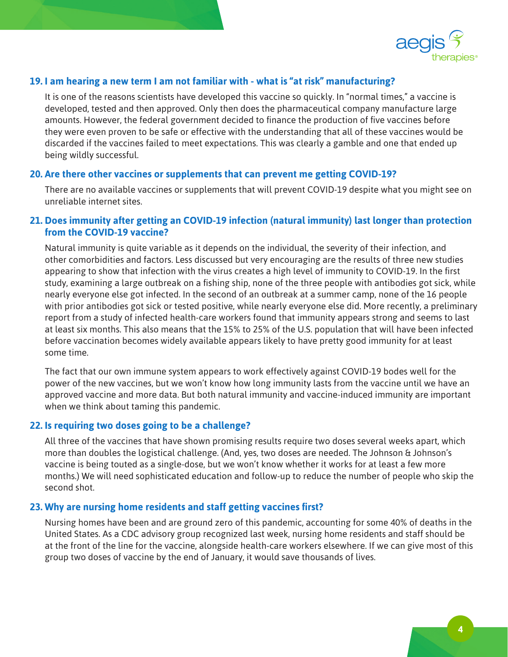

## **19. I am hearing a new term I am not familiar with - what is "at risk" manufacturing?**

It is one of the reasons scientists have developed this vaccine so quickly. In "normal times," a vaccine is developed, tested and then approved. Only then does the pharmaceutical company manufacture large amounts. However, the federal government decided to finance the production of five vaccines before they were even proven to be safe or effective with the understanding that all of these vaccines would be discarded if the vaccines failed to meet expectations. This was clearly a gamble and one that ended up being wildly successful.

#### **20. Are there other vaccines or supplements that can prevent me getting COVID-19?**

There are no available vaccines or supplements that will prevent COVID-19 despite what you might see on unreliable internet sites.

# **21. Does immunity after getting an COVID-19 infection (natural immunity) last longer than protection from the COVID-19 vaccine?**

Natural immunity is quite variable as it depends on the individual, the severity of their infection, and other comorbidities and factors. Less discussed but very encouraging are the results of three new studies appearing to show that infection with the virus creates a high level of immunity to COVID-19. In the first study, examining a large outbreak on a fishing ship, none of the three people with antibodies got sick, while nearly everyone else got infected. In the second of an outbreak at a summer camp, none of the 16 people with prior antibodies got sick or tested positive, while nearly everyone else did. More recently, a preliminary report from a study of infected health-care workers found that immunity appears strong and seems to last at least six months. This also means that the 15% to 25% of the U.S. population that will have been infected before vaccination becomes widely available appears likely to have pretty good immunity for at least some time.

The fact that our own immune system appears to work effectively against COVID-19 bodes well for the power of the new vaccines, but we won't know how long immunity lasts from the vaccine until we have an approved vaccine and more data. But both natural immunity and vaccine-induced immunity are important when we think about taming this pandemic.

#### **22. Is requiring two doses going to be a challenge?**

All three of the vaccines that have shown promising results require two doses several weeks apart, which more than doubles the logistical challenge. (And, yes, two doses are needed. The Johnson & Johnson's vaccine is being touted as a single-dose, but we won't know whether it works for at least a few more months.) We will need sophisticated education and follow-up to reduce the number of people who skip the second shot.

#### **23. Why are nursing home residents and staff getting vaccines first?**

Nursing homes have been and are ground zero of this pandemic, accounting for some 40% of deaths in the United States. As a CDC advisory group recognized last week, nursing home residents and staff should be at the front of the line for the vaccine, alongside health-care workers elsewhere. If we can give most of this group two doses of vaccine by the end of January, it would save thousands of lives.